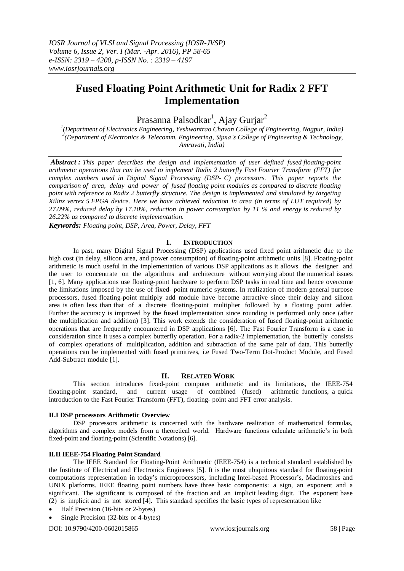# **Fused Floating Point Arithmetic Unit for Radix 2 FFT Implementation**

Prasanna Palsodkar<sup>1</sup>, Ajay Gurjar<sup>2</sup>

*1 (Department of Electronics Engineering, Yeshwantrao Chavan College of Engineering, Nagpur, India) 2 (Department of Electronics & Telecomm. Engineering, Sipna's College of Engineering & Technology, Amravati, India)*

*Abstract : This paper describes the design and implementation of user defined fused floating-point arithmetic operations that can be used to implement Radix 2 butterfly Fast Fourier Transform (FFT) for complex numbers used in Digital Signal Processing (DSP- C) processors. This paper reports the comparison of area, delay and power of fused floating point modules as compared to discrete floating point with reference to Radix 2 butterfly structure. The design is implemented and simulated by targeting Xilinx vertex 5 FPGA device. Here we have achieved reduction in area (in terms of LUT required) by 27.09%, reduced delay by 17.10%, reduction in power consumption by 11 % and energy is reduced by 26.22% as compared to discrete implementation.*

*Keywords: Floating point, DSP, Area, Power, Delay, FFT*

## **I. INTRODUCTION**

In past, many Digital Signal Processing (DSP) applications used fixed point arithmetic due to the high cost (in delay, silicon area, and power consumption) of floating-point arithmetic units [8]. Floating-point arithmetic is much useful in the implementation of various DSP applications as it allows the designer and the user to concentrate on the algorithms and architecture without worrying about the numerical issues [1, 6]. Many applications use floating-point hardware to perform DSP tasks in real time and hence overcome the limitations imposed by the use of fixed- point numeric systems. In realization of modern general purpose processors, fused floating-point multiply add module have become attractive since their delay and silicon area is often less than that of a discrete floating-point multiplier followed by a floating point adder. Further the accuracy is improved by the fused implementation since rounding is performed only once (after the multiplication and addition) [3]. This work extends the consideration of fused floating-point arithmetic operations that are frequently encountered in DSP applications [6]. The Fast Fourier Transform is a case in consideration since it uses a complex butterfly operation. For a radix-2 implementation, the butterfly consists of complex operations of multiplication, addition and subtraction of the same pair of data. This butterfly operations can be implemented with fused primitives, i.e Fused Two-Term Dot-Product Module, and Fused Add-Subtract module [1].

## **II. RELATED WORK**

This section introduces fixed-point computer arithmetic and its limitations, the IEEE-754 floating-point standard, and current usage of combined (fused) arithmetic functions, a quick introduction to the Fast Fourier Transform (FFT), floating- point and FFT error analysis.

#### **II.I DSP processors Arithmetic Overview**

DSP processors arithmetic is concerned with the hardware realization of mathematical formulas, algorithms and complex models from a theoretical world. Hardware functions calculate arithmetic's in both fixed-point and floating-point (Scientific Notations) [6].

#### **II.II IEEE-754 Floating Point Standard**

The IEEE Standard for Floating-Point Arithmetic (IEEE-754) is a technical standard established by the Institute of Electrical and Electronics Engineers [5]. It is the most ubiquitous standard for floating-point computations representation in today's microprocessors, including Intel-based Processor's, Macintoshes and UNIX platforms. IEEE floating point numbers have three basic components: a sign, an exponent and a significant. The significant is composed of the fraction and an implicit leading digit. The exponent base (2) is implicit and is not stored [4]. This standard specifies the basic types of representation like

- Half Precision (16-bits or 2-bytes)
- Single Precision (32-bits or 4-bytes)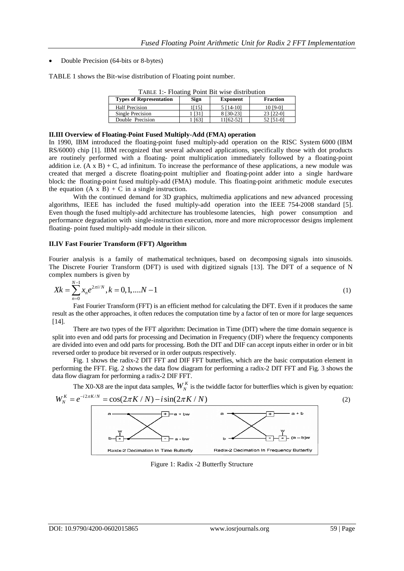Double Precision (64-bits or 8-bytes)

TABLE 1 shows the Bit-wise distribution of Floating point number.

| <b>TABLE 1.- Floating Fount Bit wise distribution</b> |      |                 |                 |  |  |
|-------------------------------------------------------|------|-----------------|-----------------|--|--|
| <b>Types of Representation</b>                        | Sign | <b>Exponent</b> | <b>Fraction</b> |  |  |
| <b>Half Precision</b>                                 | [15] | 5 [14-10]       | 10 [9-0]        |  |  |
| Single Precision                                      | [31] | 8 [30-23]       | 23 [22-0]       |  |  |
| Double Precision                                      | [63] | 11[62-52]       | 52 [51-0]       |  |  |

TABLE 1:- Floating Point Bit wise distribution

#### **II.III Overview of Floating-Point Fused Multiply-Add (FMA) operation**

In 1990, IBM introduced the floating-point fused multiply-add operation on the RISC System 6000 (IBM RS/6000) chip [1]. IBM recognized that several advanced applications, specifically those with dot products are routinely performed with a floating- point multiplication immediately followed by a floating-point addition i.e.  $(A \times B) + C$ , ad infinitum. To increase the performance of these applications, a new module was created that merged a discrete floating-point multiplier and floating-point adder into a single hardware block: the floating-point fused multiply-add (FMA) module. This floating-point arithmetic module executes the equation  $(A \times B) + C$  in a single instruction.

With the continued demand for 3D graphics, multimedia applications and new advanced processing algorithms, IEEE has included the fused multiply-add operation into the IEEE 754-2008 standard [5]. Even though the fused multiply-add architecture has troublesome latencies, high power consumption and performance degradation with single-instruction execution, more and more microprocessor designs implement floating- point fused multiply-add module in their silicon.

#### **II.IV Fast Fourier Transform (FFT) Algorithm**

Fourier analysis is a family of mathematical techniques, based on decomposing signals into sinusoids. The Discrete Fourier Transform (DFT) is used with digitized signals [13]. The DFT of a sequence of N complex numbers is given by

$$
Xk = \sum_{n=0}^{N-1} x_n e^{2\pi i/N}, k = 0, 1, \dots N-1
$$
 (1)

Fast Fourier Transform (FFT) is an efficient method for calculating the DFT. Even if it produces the same result as the other approaches, it often reduces the computation time by a factor of ten or more for large sequences [14].

There are two types of the FFT algorithm: Decimation in Time (DIT) where the time domain sequence is split into even and odd parts for processing and Decimation in Frequency (DIF) where the frequency components are divided into even and odd parts for processing. Both the DIT and DIF can accept inputs either in order or in bit reversed order to produce bit reversed or in order outputs respectively.

Fig. 1 shows the radix-2 DIT FFT and DIF FFT butterflies, which are the basic computation element in performing the FFT. Fig. 2 shows the data flow diagram for performing a radix-2 DIT FFT and Fig. 3 shows the data flow diagram for performing a radix-2 DIF FFT.



Figure 1: Radix -2 Butterfly Structure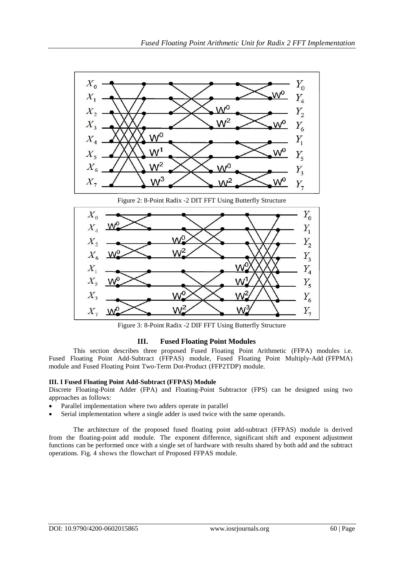

Figure 3: 8-Point Radix -2 DIF FFT Using Butterfly Structure

## **III. Fused Floating Point Modules**

This section describes three proposed Fused Floating Point Arithmetic (FFPA) modules i.e. Fused Floating Point Add-Subtract (FFPAS) module, Fused Floating Point Multiply-Add (FFPMA) module and Fused Floating Point Two-Term Dot-Product (FFP2TDP) module.

## **III. I Fused Floating Point Add-Subtract (FFPAS) Module**

Discrete Floating-Point Adder (FPA) and Floating-Point Subtractor (FPS) can be designed using two approaches as follows:

- Parallel implementation where two adders operate in parallel
- Serial implementation where a single adder is used twice with the same operands.

The architecture of the proposed fused floating point add-subtract (FFPAS) module is derived from the floating-point add module. The exponent difference, significant shift and exponent adjustment functions can be performed once with a single set of hardware with results shared by both add and the subtract operations. Fig. 4 shows the flowchart of Proposed FFPAS module.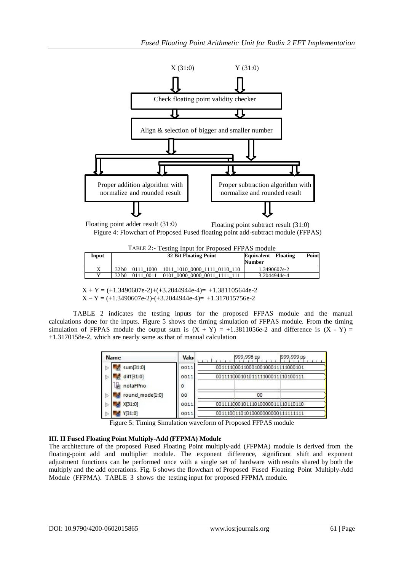

Floating point adder result (31:0) Floating point subtract result (31:0) Figure 4: Flowchart of Proposed Fused floating point add-subtract module (FFPAS)

| TABLE 2:- Testing Input for Proposed FFPAS module |  |  |  |
|---------------------------------------------------|--|--|--|
|                                                   |  |  |  |

| Input        | <b>32 Bit Floating Point</b>                       | Point<br><b>Equivalent</b><br><b>Floating</b><br><b>Number</b> |
|--------------|----------------------------------------------------|----------------------------------------------------------------|
| X            | 32'b0<br>0111 1000<br>1011 1010 0000 1111 0110 110 | 1.3490607e-2                                                   |
| $\mathbf{v}$ | $321$ b $0$<br>0011<br>0101 0000 0000 0011 1111    | 3.2044944e-4                                                   |

 $X + Y = (+1.3490607e-2) + (+3.2044944e-4) = +1.381105644e-2$  $X - Y = (+1.3490607e-2) - (+3.2044944e-4) = +1.317015756e-2$ 

TABLE 2 indicates the testing inputs for the proposed FFPAS module and the manual calculations done for the inputs. Figure 5 shows the timing simulation of FFPAS module. From the timing simulation of FFPAS module the output sum is  $(X + Y) = +1.3811056e-2$  and difference is  $(X - Y) =$ +1.3170158e-2, which are nearly same as that of manual calculation

|   | <b>Name</b>     | Valu <sub>!</sub> | [999,998 ps]<br>1999,999 ps       |
|---|-----------------|-------------------|-----------------------------------|
| Þ | sum[31:0]       | 0011              | 00111100011000100100011111000101  |
| Þ | diff[31:0]      | 0011              | 00111100010101111100011110100111  |
|   | notaFPno        | 0                 |                                   |
| Þ | round_mode[1:0] | 00                | 00                                |
| Þ | X[31:0]         | 0011              | 00111100010111010000011110110110  |
| Þ | Y[31:0]         | 0011              | 001110011010100000000000111111111 |

Figure 5: Timing Simulation waveform of Proposed FFPAS module

## **III. II Fused Floating Point Multiply-Add (FFPMA) Module**

The architecture of the proposed Fused Floating Point multiply-add (FFPMA) module is derived from the floating-point add and multiplier module. The exponent difference, significant shift and exponent adjustment functions can be performed once with a single set of hardware with results shared by both the multiply and the add operations. Fig. 6 shows the flowchart of Proposed Fused Floating Point Multiply-Add Module (FFPMA). TABLE 3 shows the testing input for proposed FFPMA module.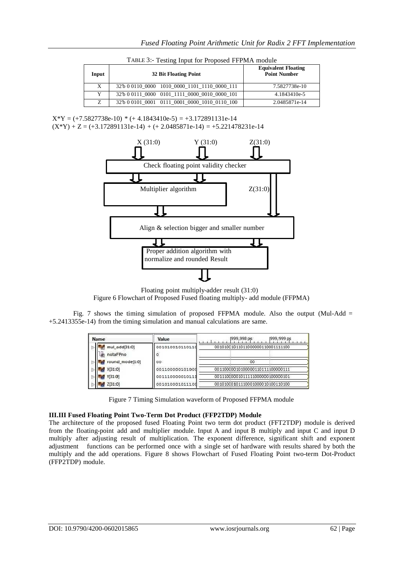| Input | 32 Bit Floating Point                         | <b>Equivalent Floating</b><br><b>Point Number</b> |
|-------|-----------------------------------------------|---------------------------------------------------|
| X     | 32'b 0 0110 0000 1010 0000 1101 1110 0000 111 | 7.5827738e-10                                     |
|       | 32'b 0 0111 0000 0101 1111 0000 0010 0000 101 | 4.1843410e-5                                      |
| Z     | 32'b 0 0101 0001 0111 0001 0000 1010 0110 100 | 2.0485871e-14                                     |

TABLE 3:- Testing Input for Proposed FFPMA module

 $X*Y = (+7.5827738e-10) * (+4.1843410e-5) = +3.172891131e-14$  $(X^*Y) + Z = (+3.172891131e-14) + (+2.0485871e-14) = +5.221478231e-14$ 



Floating point multiply-adder result (31:0) Figure 6 Flowchart of Proposed Fused floating multiply- add module (FFPMA)

Fig. 7 shows the timing simulation of proposed FFPMA module. Also the output (Mul-Add = +5.2413355e-14) from the timing simulation and manual calculations are same.

| Name                      | Value                | 999,999 ps<br>1999, 998 ps       |
|---------------------------|----------------------|----------------------------------|
| mul add[31:0]<br>notaFPno | 001010010110110<br>o | 00101001011011000000110001111100 |
| round mode[1:0]           | GO.                  | 00                               |
| X[31:0]                   | 001100000101000      | 00110000010100000110111100000111 |
| Y[31:0]                   | 001110000010111      | 00111000001011111000000100000101 |
| 12[31:0]                  | 001010001011100      | 00101000101110001000010100110100 |

Figure 7 Timing Simulation waveform of Proposed FFPMA module

## **III.III Fused Floating Point Two-Term Dot Product (FFP2TDP) Module**

The architecture of the proposed fused Floating Point two term dot product (FFT2TDP) module is derived from the floating-point add and multiplier module. Input A and input B multiply and input C and input D multiply after adjusting result of multiplication. The exponent difference, significant shift and exponent adjustment functions can be performed once with a single set of hardware with results shared by both the multiply and the add operations. Figure 8 shows Flowchart of Fused Floating Point two-term Dot-Product (FFP2TDP) module.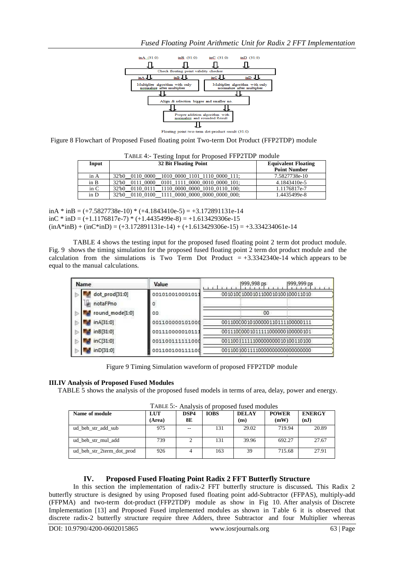

 $result(31:0)$ -term

Figure 8 Flowchart of Proposed Fused floating point Two-term Dot Product (FFP2TDP) module

|       | TABLE 4:- Testing Input for Proposed FFP2TDP module                               |               |  |  |  |  |
|-------|-----------------------------------------------------------------------------------|---------------|--|--|--|--|
| Input | <b>32 Bit Floating Point</b><br><b>Equivalent Floating</b><br><b>Point Number</b> |               |  |  |  |  |
| in A  | 0110 0000<br>1010 0000 1101 1110 0000 111;<br>$321$ b $01$                        | 7.5827738e-10 |  |  |  |  |
| in B  | 0111 0000<br>0101 1111 0000 0010 0000 101:<br>$321$ b $01$                        | 4.1843410e-5  |  |  |  |  |
| in C  | 1110 0000 0000 1010 0110 100;<br>$321$ b $01$<br>0110 0111                        | 1.1176817e-7  |  |  |  |  |
| in D  | 0110 0100 1111 0000 0000 0000 0000 000;<br>32 <sup>th</sup> 0                     | 1.4435499e-8  |  |  |  |  |

| inA * inB = $(+7.5827738e-10)$ * $(+4.1843410e-5) = +3.172891131e-14$                |
|--------------------------------------------------------------------------------------|
| $\text{inc}$ * $\text{inD}$ = (+1.1176817e-7) * (+1.4435499e-8) = +1.613429306e-15   |
| $(inA*inB) + (inC*inD) = (+3.172891131e-14) + (+1.613429306e-15) = +3.334234061e-14$ |

TABLE 4 shows the testing input for the proposed fused floating point 2 term dot product module. Fig. 9 shows the timing simulation for the proposed fused floating point 2 term dot product module and the calculation from the simulations is Two Term Dot Product  $= +3.3342340e-14$  which appears to be equal to the manual calculations.

| Name                       | Value                | 1999, 998 ps<br>999,999 ps       |
|----------------------------|----------------------|----------------------------------|
| dot prod[31:0]<br>notaFPno | 001010010001011<br>٥ | 00101001000101100010100100011010 |
| round_mode[1:0]            | 00                   | 00                               |
| inA[31:0]                  | 001100000101000      | 00110000010100000110111100000111 |
| inB[31:0]                  | 001110000010111      | 00111000001011111000000100000101 |
| inC[31:0]                  | 001100111111000      | 00110011111100000000010100110100 |
| inD[31:0]                  | 001100100111100      | 00110010011110000000000000000000 |

Figure 9 Timing Simulation waveform of proposed FFP2TDP module

## **III.IV Analysis of Proposed Fused Modules**

TABLE 5 shows the analysis of the proposed fused models in terms of area, delay, power and energy.

TABLE 5:- Analysis of proposed fused modules<br>
<u>LUIT | DSP4</u> | JOBS | DELAY | PO **Name** of **module (Area) DSP4 8E DELAY (ns) POWER (mW) ENERGY (nJ)** ud\_beh\_str\_add\_sub 975 -- 131 29.02 719.94 20.89 ud\_beh\_str\_mul\_add 1 739 2 131 39.96 692.27 27.67 ud\_beh\_str\_2term\_dot\_prod 926 4 163 39 715.68 27.91

## **IV. Proposed Fused Floating Point Radix 2 FFT Butterfly Structure**

In this section the implementation of radix-2 FFT butterfly structure is discussed**.** This Radix 2 butterfly structure is designed by using Proposed fused floating point add-Subtractor (FFPAS), multiply-add (FFPMA) and two-term dot-product (FFP2TDP) module as show in Fig 10. After analysis of Discrete Implementation [13] and Proposed Fused implemented modules as shown in T able 6 it is observed that discrete radix-2 butterfly structure require three Adders, three Subtractor and four Multiplier whereas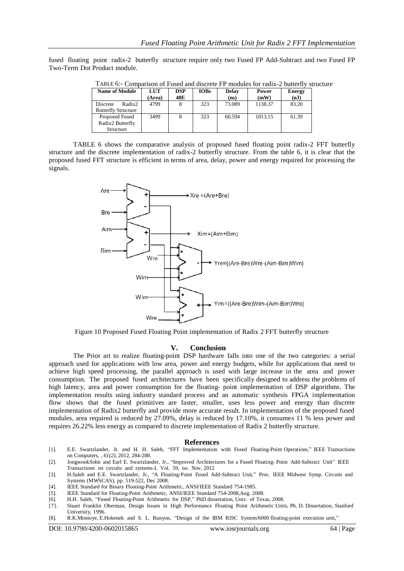fused floating point radix-2 butterfly structure require only two Fused FP Add-Subtract and two Fused FP Two-Term Dot Product module.

| <b>Name of Module</b>                            | LUT<br>(Area) | <b>DSP</b><br>48E | <b>IOBs</b> | <b>Delay</b><br>(ns) | Power<br>(mW) | <b>Energy</b><br>(nJ) |
|--------------------------------------------------|---------------|-------------------|-------------|----------------------|---------------|-----------------------|
| Radix2<br>Discrete<br><b>Butterfly Structure</b> | 4799          |                   | 323         | 73.089               | 1138.37       | 83.20                 |
| Proposed Fused<br>Radix2 Butterfly<br>Structure  | 3499          |                   | 323         | 60.594               | 1013.15       | 61.39                 |

TABLE 6:- Comparison of Fused and discrete FP modules for radix-2 butterfly structure

TABLE 6 shows the comparative analysis of proposed fused floating point radix-2 FFT butterfly structure and the discrete implementation of radix-2 butterfly structure. From the table 6, it is clear that the proposed fused FFT structure is efficient in terms of area, delay, power and energy required for processing the signals.



Figure 10 Proposed Fused Floating Point implementation of Radix 2 FFT butterfly structure

#### **V. Conclusion**

The Prior art to realize floating-point DSP hardware falls into one of the two categories: a serial approach used for applications with low area, power and energy budgets, while for applications that need to achieve high speed processing, the parallel approach is used with large increase in the area and power consumption. The proposed fused architectures have been specifically designed to address the problems of high latency, area and power consumption for the floating- point implementation of DSP algorithms. The implementation results using industry standard process and an automatic synthesis FPGA implementation flow shows that the fused primitives are faster, smaller, uses less power and energy than discrete implementation of Radix2 butterfly and provide more accurate result. In implementation of the proposed fused modules, area required is reduced by 27.09%, delay is reduced by 17.10%, it consumes 11 % less power and requires 26.22% less energy as compared to discrete implementation of Radix 2 butterfly structure.

#### **References**

- [1]. E.E. Swartzlander, Jr. and H. H. Saleh, "FFT Implementation with Fused Floating-Point Operations," IEEE Transactions on Computers, *, 61(2),* 2012, 284-288.
- [2]. JongwookSohn and Earl E. Swartzlander, Jr., "Improved Architectures for a Fused Floating- Point Add-Subtract Unit" IEEE Transactions on circuits and systems-I, Vol. 59, no. Nov, 2012
- [3]. H.Saleh and E.E. Swartzlander, Jr., "A Floating-Point Fused Add-Subtract Unit," Proc. IEEE Midwest Symp. Circuits and Systems (MWSCAS), pp. 519-522, Dec 2008.
- [4]. IEEE Standard for Binary Floating-Point Arithmetic, ANSI/IEEE Standard 754-1985.
- IEEE Standard for Floating-Point Arithmetic, ANSI/IEEE Standard 754-2008,Aug. 2008.
- [6]. H.H. Saleh, "Fused Floating-Point Arithmetic for DSP," PhD dissertation, Univ. of Texas, 2008.
- [7]. Stuart Franklin Oberman, Design Issues in High Performance Floating Point Arithmetic Units, Ph. D. Dissertation, Stanford University, 1996.
- [8]. R.K.Montoye, E.Hokenek and S. L. Runyon, "Design of the IBM RISC System/6000 floating-point execution unit,"